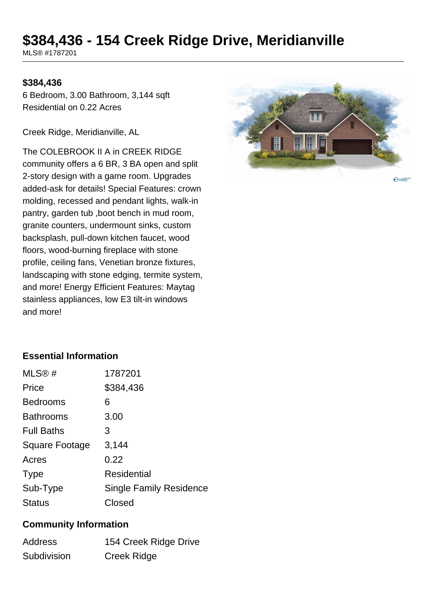# **\$384,436 - 154 Creek Ridge Drive, Meridianville**

MLS® #1787201

### **\$384,436**

6 Bedroom, 3.00 Bathroom, 3,144 sqft Residential on 0.22 Acres

Creek Ridge, Meridianville, AL

The COLEBROOK II A in CREEK RIDGE community offers a 6 BR, 3 BA open and split 2-story design with a game room. Upgrades added-ask for details! Special Features: crown molding, recessed and pendant lights, walk-in pantry, garden tub ,boot bench in mud room, granite counters, undermount sinks, custom backsplash, pull-down kitchen faucet, wood floors, wood-burning fireplace with stone profile, ceiling fans, Venetian bronze fixtures, landscaping with stone edging, termite system, and more! Energy Efficient Features: Maytag stainless appliances, low E3 tilt-in windows and more!



**Ovalley** 

# **Essential Information**

| MLS@#             | 1787201                        |
|-------------------|--------------------------------|
| Price             | \$384,436                      |
| <b>Bedrooms</b>   | 6                              |
| <b>Bathrooms</b>  | 3.00                           |
| <b>Full Baths</b> | З                              |
| Square Footage    | 3,144                          |
| Acres             | 0.22                           |
| <b>Type</b>       | <b>Residential</b>             |
| Sub-Type          | <b>Single Family Residence</b> |
| Status            | Closed                         |

#### **Community Information**

| <b>Address</b> | 154 Creek Ridge Drive |
|----------------|-----------------------|
| Subdivision    | Creek Ridge           |